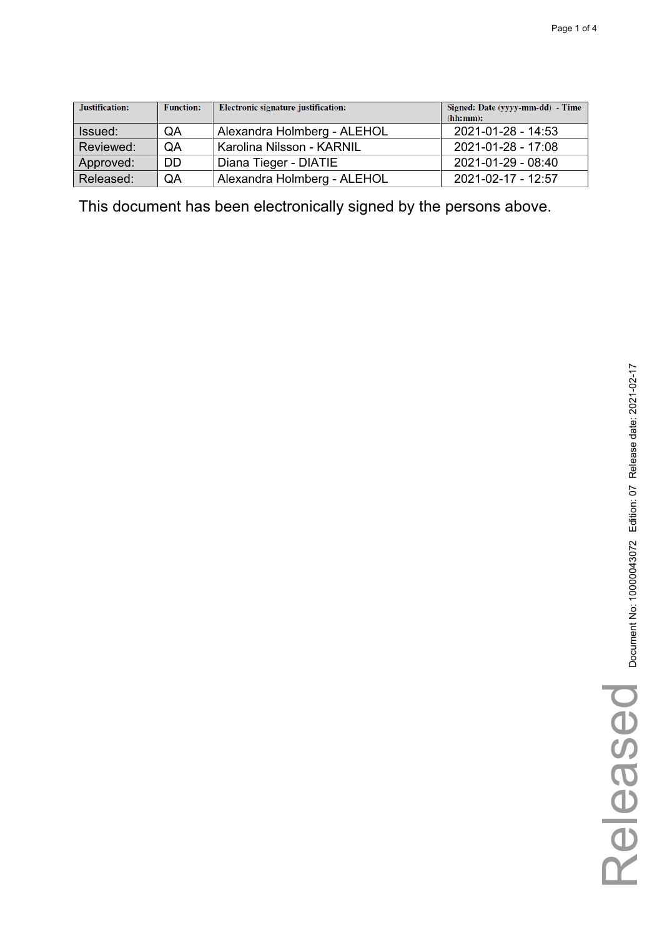| Justification: | <b>Function:</b> | Electronic signature justification: | Signed: Date (yyyy-mm-dd) - Time<br>(hh:mm): |
|----------------|------------------|-------------------------------------|----------------------------------------------|
| Issued:        | QA               | Alexandra Holmberg - ALEHOL         | 2021-01-28 - 14:53                           |
| Reviewed:      | QA               | Karolina Nilsson - KARNIL           | 2021-01-28 - 17:08                           |
| Approved:      | <b>DD</b>        | Diana Tieger - DIATIE               | 2021-01-29 - 08:40                           |
| Released:      | QA               | Alexandra Holmberg - ALEHOL         | 2021-02-17 - 12:57                           |

This document has been electronically signed by the persons above.

Released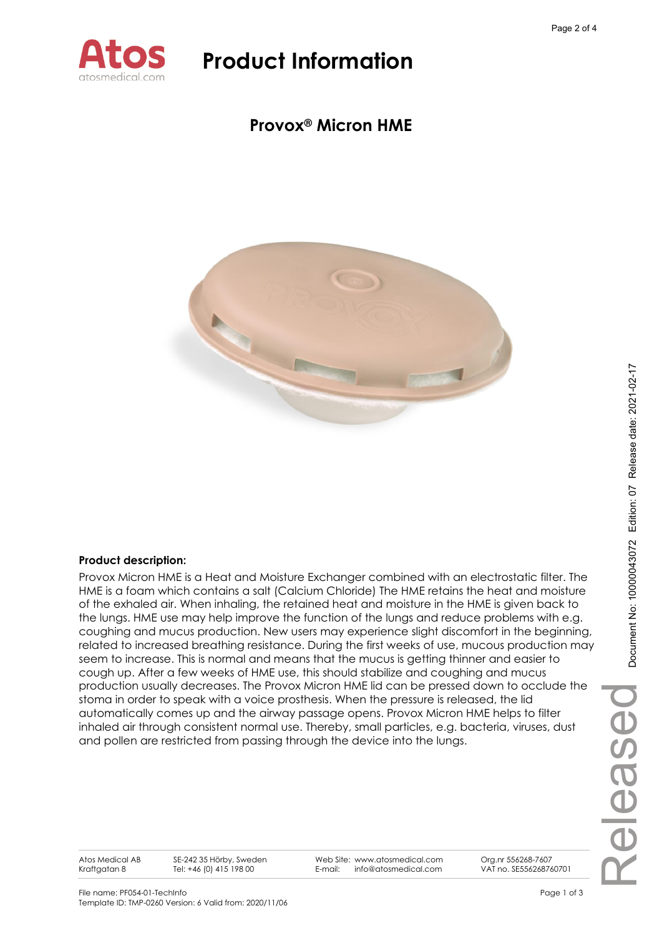

## **Provox® Micron HME**



### **Product description:**

Provox Micron HME is a Heat and Moisture Exchanger combined with an electrostatic filter. The HME is a foam which contains a salt (Calcium Chloride) The HME retains the heat and moisture of the exhaled air. When inhaling, the retained heat and moisture in the HME is given back to the lungs. HME use may help improve the function of the lungs and reduce problems with e.g. coughing and mucus production. New users may experience slight discomfort in the beginning, related to increased breathing resistance. During the first weeks of use, mucous production may seem to increase. This is normal and means that the mucus is getting thinner and easier to cough up. After a few weeks of HME use, this should stabilize and coughing and mucus production usually decreases. The Provox Micron HME lid can be pressed down to occlude the stoma in order to speak with a voice prosthesis. When the pressure is released, the lid automatically comes up and the airway passage opens. Provox Micron HME helps to filter inhaled air through consistent normal use. Thereby, small particles, e.g. bacteria, viruses, dust and pollen are restricted from passing through the device into the lungs.

Atos Medical AB Kraftgatan 8

SE-242 35 Hörby, Sweden Tel: +46 (0) 415 198 00

Web Site: www.atosmedical.com E-mail: info@atosmedical.com

Org.nr 556268-7607 VAT no. SE556268760701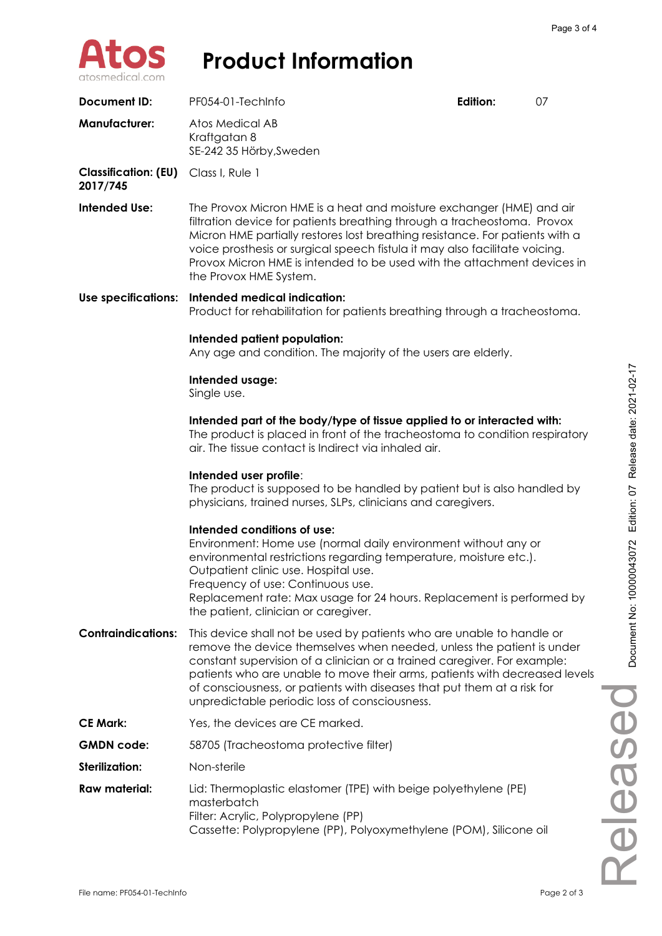

| <b>Document ID:</b>                     | PF054-01-TechInfo                                                                                                                                                                                                                                                                                                                                                                                                                    | Edition: | 07 |
|-----------------------------------------|--------------------------------------------------------------------------------------------------------------------------------------------------------------------------------------------------------------------------------------------------------------------------------------------------------------------------------------------------------------------------------------------------------------------------------------|----------|----|
| <b>Manufacturer:</b>                    | Atos Medical AB<br>Kraftgatan 8<br>SE-242 35 Hörby, Sweden                                                                                                                                                                                                                                                                                                                                                                           |          |    |
| <b>Classification: (EU)</b><br>2017/745 | Class I, Rule 1                                                                                                                                                                                                                                                                                                                                                                                                                      |          |    |
| <b>Intended Use:</b>                    | The Provox Micron HME is a heat and moisture exchanger (HME) and air<br>filtration device for patients breathing through a tracheostoma. Provox<br>Micron HME partially restores lost breathing resistance. For patients with a<br>voice prosthesis or surgical speech fistula it may also facilitate voicing.<br>Provox Micron HME is intended to be used with the attachment devices in<br>the Provox HME System.                  |          |    |
| <b>Use specifications:</b>              | Intended medical indication:<br>Product for rehabilitation for patients breathing through a tracheostoma.                                                                                                                                                                                                                                                                                                                            |          |    |
|                                         | Intended patient population:<br>Any age and condition. The majority of the users are elderly.                                                                                                                                                                                                                                                                                                                                        |          |    |
|                                         | Intended usage:<br>Single use.                                                                                                                                                                                                                                                                                                                                                                                                       |          |    |
|                                         | Intended part of the body/type of tissue applied to or interacted with:<br>The product is placed in front of the tracheostoma to condition respiratory<br>air. The tissue contact is Indirect via inhaled air.                                                                                                                                                                                                                       |          |    |
|                                         | Intended user profile:<br>The product is supposed to be handled by patient but is also handled by<br>physicians, trained nurses, SLPs, clinicians and caregivers.                                                                                                                                                                                                                                                                    |          |    |
|                                         | Intended conditions of use:<br>Environment: Home use (normal daily environment without any or<br>environmental restrictions regarding temperature, moisture etc.).<br>Outpatient clinic use. Hospital use.<br>Frequency of use: Continuous use.<br>Replacement rate: Max usage for 24 hours. Replacement is performed by<br>the patient, clinician or caregiver.                                                                     |          |    |
| <b>Contraindications:</b>               | This device shall not be used by patients who are unable to handle or<br>remove the device themselves when needed, unless the patient is under<br>constant supervision of a clinician or a trained caregiver. For example:<br>patients who are unable to move their arms, patients with decreased levels<br>of consciousness, or patients with diseases that put them at a risk for<br>unpredictable periodic loss of consciousness. |          |    |
| <b>CE Mark:</b>                         | Yes, the devices are CE marked.                                                                                                                                                                                                                                                                                                                                                                                                      |          |    |
| <b>GMDN</b> code:                       | 58705 (Tracheostoma protective filter)                                                                                                                                                                                                                                                                                                                                                                                               |          |    |
| <b>Sterilization:</b>                   | Non-sterile                                                                                                                                                                                                                                                                                                                                                                                                                          |          |    |
| <b>Raw material:</b>                    | Lid: Thermoplastic elastomer (TPE) with beige polyethylene (PE)<br>masterbatch<br>Filter: Acrylic, Polypropylene (PP)<br>Cassette: Polypropylene (PP), Polyoxymethylene (POM), Silicone oil                                                                                                                                                                                                                                          |          |    |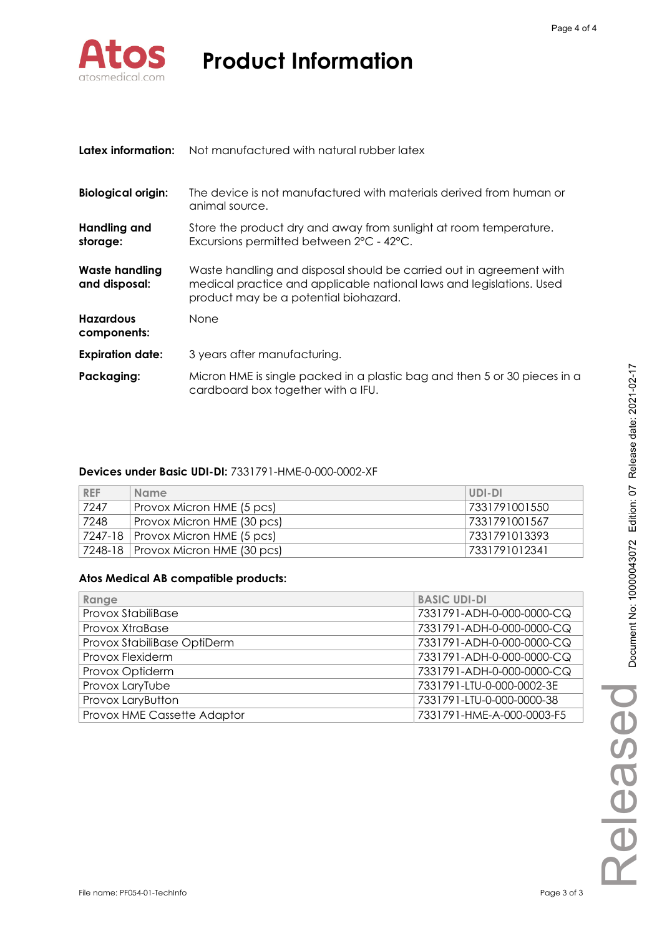

| Latex information:                     | Not manufactured with natural rubber latex                                                                                                                                           |
|----------------------------------------|--------------------------------------------------------------------------------------------------------------------------------------------------------------------------------------|
| <b>Biological origin:</b>              | The device is not manufactured with materials derived from human or<br>animal source.                                                                                                |
| Handling and<br>storage:               | Store the product dry and away from sunlight at room temperature.<br>Excursions permitted between 2°C - 42°C.                                                                        |
| <b>Waste handling</b><br>and disposal: | Waste handling and disposal should be carried out in agreement with<br>medical practice and applicable national laws and legislations. Used<br>product may be a potential biohazard. |
| <b>Hazardous</b><br>components:        | <b>None</b>                                                                                                                                                                          |
| <b>Expiration date:</b>                | 3 years after manufacturing.                                                                                                                                                         |
| Packaging:                             | Micron HME is single packed in a plastic bag and then 5 or 30 pieces in a<br>cardboard box together with a IFU.                                                                      |

### **Devices under Basic UDI-DI:** 7331791-HME-0-000-0002-XF

| <b>REF</b> | <b>Name</b>                          | UDI-DI        |
|------------|--------------------------------------|---------------|
| 7247       | Provox Micron HME (5 pcs)            | 7331791001550 |
| 7248       | Provox Micron HME (30 pcs)           | 7331791001567 |
|            | 7247-18   Provox Micron HME (5 pcs)  | 7331791013393 |
|            | 7248-18   Provox Micron HME (30 pcs) | 7331791012341 |

### **Atos Medical AB compatible products:**

| Range                       | <b>BASIC UDI-DI</b>       |
|-----------------------------|---------------------------|
| Provox StabiliBase          | 7331791-ADH-0-000-0000-CQ |
| Provox XtraBase             | 7331791-ADH-0-000-0000-CQ |
| Provox StabiliBase OptiDerm | 7331791-ADH-0-000-0000-CQ |
| Provox Flexiderm            | 7331791-ADH-0-000-0000-CQ |
| Provox Optiderm             | 7331791-ADH-0-000-0000-CQ |
| Provox LaryTube             | 7331791-LTU-0-000-0002-3E |
| Provox LaryButton           | 7331791-LTU-0-000-0000-38 |
| Provox HME Cassette Adaptor | 7331791-HME-A-000-0003-F5 |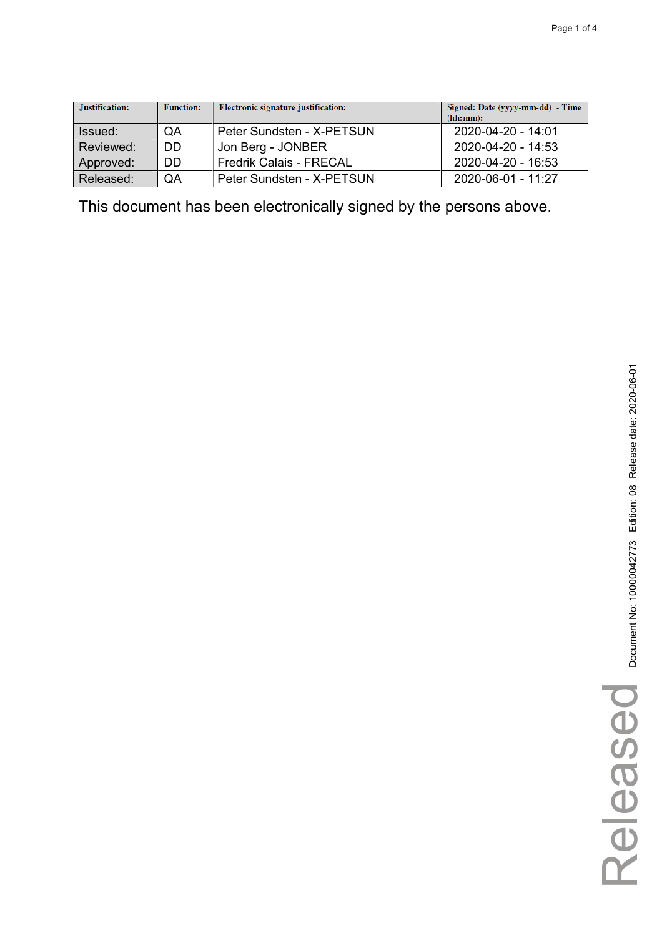| Justification: | <b>Function:</b> | Electronic signature justification: | Signed: Date (yyyy-mm-dd) - Time<br>(hh:mm): |
|----------------|------------------|-------------------------------------|----------------------------------------------|
| Issued:        | QA               | Peter Sundsten - X-PETSUN           | 2020-04-20 - 14:01                           |
| Reviewed:      | DD               | Jon Berg - JONBER                   | 2020-04-20 - 14:53                           |
| Approved:      | DD               | <b>Fredrik Calais - FRECAL</b>      | 2020-04-20 - 16:53                           |
| Released:      | QA               | Peter Sundsten - X-PETSUN           | $2020 - 06 - 01 - 11:27$                     |

This document has been electronically signed by the persons above.

Released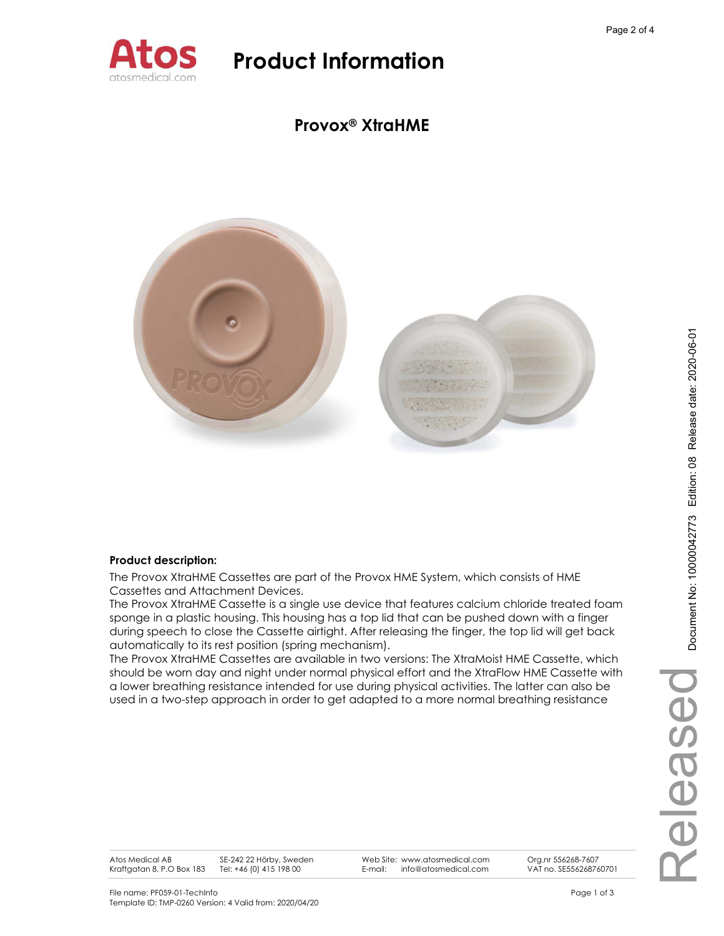

### **Provox® XtraHME**



### **Product description:**

The Provox XtraHME Cassettes are part of the Provox HME System, which consists of HME Cassettes and Attachment Devices.

The Provox XtraHME Cassette is a single use device that features calcium chloride treated foam sponge in a plastic housing. This housing has a top lid that can be pushed down with a finger during speech to close the Cassette airtight. After releasing the finger, the top lid will get back automatically to its rest position (spring mechanism).

The Provox XtraHME Cassettes are available in two versions: The XtraMoist HME Cassette, which should be worn day and night under normal physical effort and the XtraFlow HME Cassette with a lower breathing resistance intended for use during physical activities. The latter can also be used in a two-step approach in order to get adapted to a more normal breathing resistance

Web Site: www.atosmedical.com E-mail: info@atosmedical.com

Org.nr 556268-7607 VAT no. SE556268760701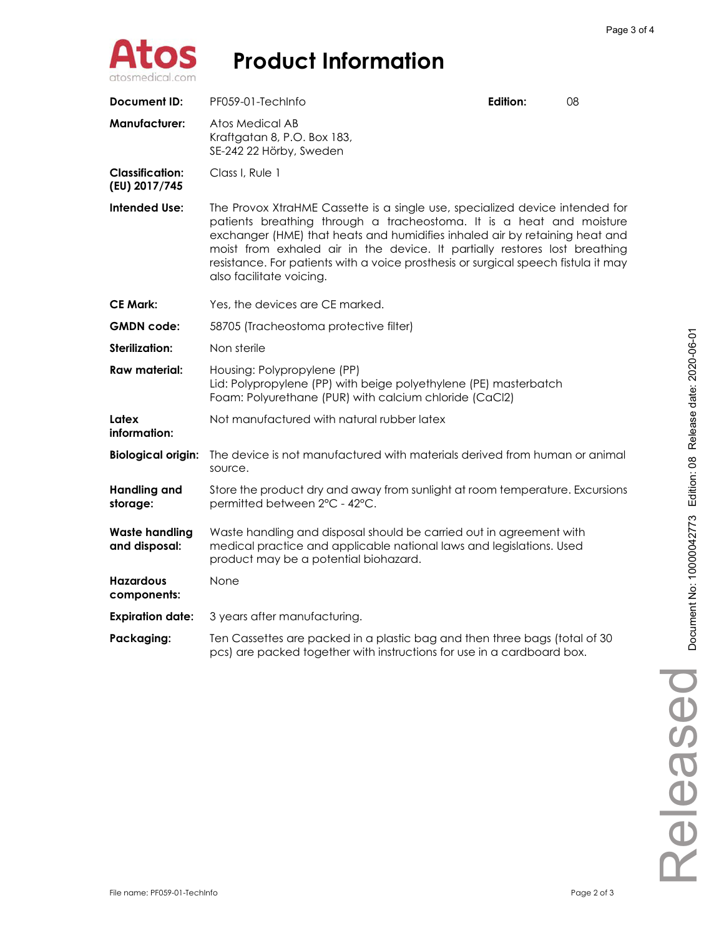

| <b>Document ID:</b>                     | PF059-01-TechInfo                                                                                                                                                                                                                                                                                                                                                                                                                   | Edition: | 08 |
|-----------------------------------------|-------------------------------------------------------------------------------------------------------------------------------------------------------------------------------------------------------------------------------------------------------------------------------------------------------------------------------------------------------------------------------------------------------------------------------------|----------|----|
| <b>Manufacturer:</b>                    | Atos Medical AB<br>Kraftgatan 8, P.O. Box 183,<br>SE-242 22 Hörby, Sweden                                                                                                                                                                                                                                                                                                                                                           |          |    |
| <b>Classification:</b><br>(EU) 2017/745 | Class I, Rule 1                                                                                                                                                                                                                                                                                                                                                                                                                     |          |    |
| <b>Intended Use:</b>                    | The Provox XtraHME Cassette is a single use, specialized device intended for<br>patients breathing through a tracheostoma. It is a heat and moisture<br>exchanger (HME) that heats and humidifies inhaled air by retaining heat and<br>moist from exhaled air in the device. It partially restores lost breathing<br>resistance. For patients with a voice prosthesis or surgical speech fistula it may<br>also facilitate voicing. |          |    |
| <b>CE Mark:</b>                         | Yes, the devices are CE marked.                                                                                                                                                                                                                                                                                                                                                                                                     |          |    |
| <b>GMDN</b> code:                       | 58705 (Tracheostoma protective filter)                                                                                                                                                                                                                                                                                                                                                                                              |          |    |
| Sterilization:                          | Non sterile                                                                                                                                                                                                                                                                                                                                                                                                                         |          |    |
| <b>Raw material:</b>                    | Housing: Polypropylene (PP)<br>Lid: Polypropylene (PP) with beige polyethylene (PE) masterbatch<br>Foam: Polyurethane (PUR) with calcium chloride (CaCl2)                                                                                                                                                                                                                                                                           |          |    |
| Latex<br>information:                   | Not manufactured with natural rubber latex                                                                                                                                                                                                                                                                                                                                                                                          |          |    |
| <b>Biological origin:</b>               | The device is not manufactured with materials derived from human or animal<br>source.                                                                                                                                                                                                                                                                                                                                               |          |    |
| <b>Handling and</b><br>storage:         | Store the product dry and away from sunlight at room temperature. Excursions<br>permitted between 2°C - 42°C.                                                                                                                                                                                                                                                                                                                       |          |    |
| <b>Waste handling</b><br>and disposal:  | Waste handling and disposal should be carried out in agreement with<br>medical practice and applicable national laws and legislations. Used<br>product may be a potential biohazard.                                                                                                                                                                                                                                                |          |    |
| <b>Hazardous</b><br>components:         | None                                                                                                                                                                                                                                                                                                                                                                                                                                |          |    |
| <b>Expiration date:</b>                 | 3 years after manufacturing.                                                                                                                                                                                                                                                                                                                                                                                                        |          |    |
| Packaging:                              | Ten Cassettes are packed in a plastic bag and then three bags (total of 30<br>pcs) are packed together with instructions for use in a cardboard box.                                                                                                                                                                                                                                                                                |          |    |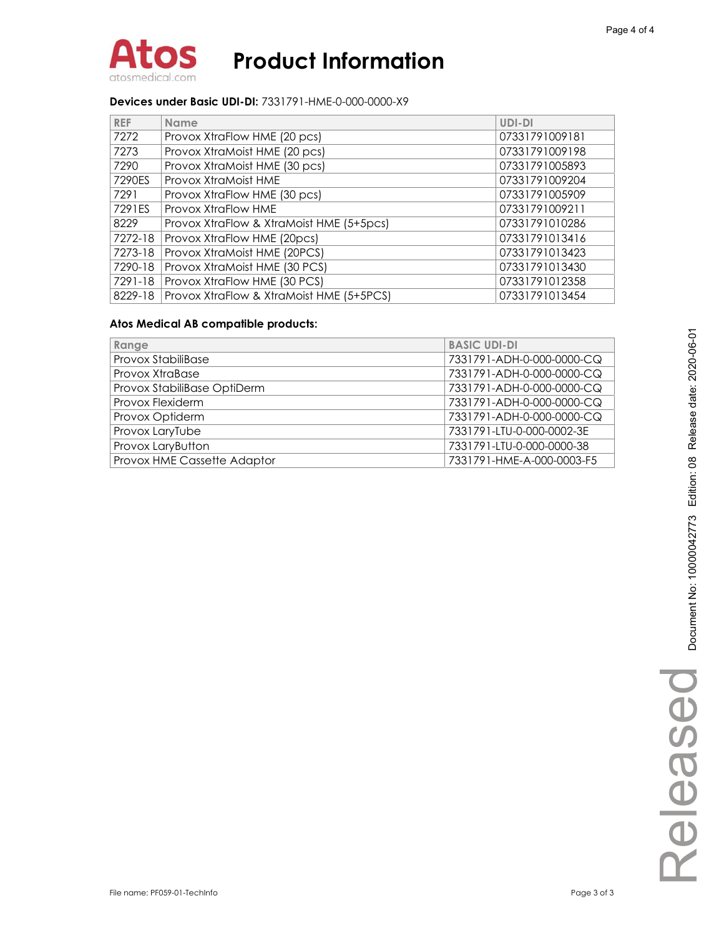

### **Devices under Basic UDI-DI:** 7331791-HME-0-000-0000-X9

| <b>REF</b> | <b>Name</b>                              | UDI-DI         |
|------------|------------------------------------------|----------------|
| 7272       | Provox XtraFlow HME (20 pcs)             | 07331791009181 |
| 7273       | Provox XtraMoist HME (20 pcs)            | 07331791009198 |
| 7290       | Provox XtraMoist HME (30 pcs)            | 07331791005893 |
| 7290ES     | Provox XtraMoist HME                     | 07331791009204 |
| 7291       | Provox XtraFlow HME (30 pcs)             | 07331791005909 |
| 7291ES     | Provox XtraFlow HME                      | 07331791009211 |
| 8229       | Provox XtraFlow & XtraMoist HME (5+5pcs) | 07331791010286 |
| 7272-18    | Provox XtraFlow HME (20pcs)              | 07331791013416 |
| 7273-18    | Provox XtraMoist HME (20PCS)             | 07331791013423 |
| 7290-18    | Provox XtraMoist HME (30 PCS)            | 07331791013430 |
| 7291-18    | Provox XtraFlow HME (30 PCS)             | 07331791012358 |
| 8229-18    | Provox XtraFlow & XtraMoist HME (5+5PCS) | 07331791013454 |

### **Atos Medical AB compatible products:**

| Range                       | <b>BASIC UDI-DI</b>       |
|-----------------------------|---------------------------|
| <b>Provox StabiliBase</b>   | 7331791-ADH-0-000-0000-CQ |
| Provox XtraBase             | 7331791-ADH-0-000-0000-CQ |
| Provox StabiliBase OptiDerm | 7331791-ADH-0-000-0000-CQ |
| Provox Flexiderm            | 7331791-ADH-0-000-0000-CQ |
| Provox Optiderm             | 7331791-ADH-0-000-0000-CQ |
| Provox LaryTube             | 7331791-LTU-0-000-0002-3E |
| Provox LaryButton           | 7331791-LTU-0-000-0000-38 |
| Provox HME Cassette Adaptor | 7331791-HME-A-000-0003-F5 |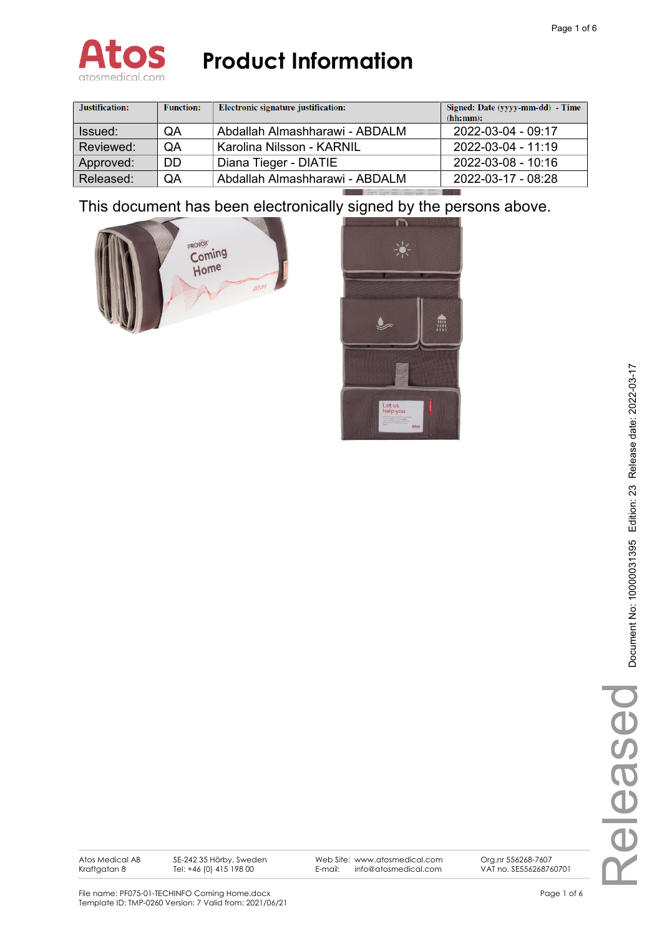

| Justification: | <b>Function:</b> | Electronic signature justification: | Signed: Date (yyyy-mm-dd) - Time<br>(hh:mm): |
|----------------|------------------|-------------------------------------|----------------------------------------------|
| Issued:        | QA               | Abdallah Almashharawi - ABDALM      | 2022-03-04 - 09:17                           |
| Reviewed:      | <b>OA</b>        | Karolina Nilsson - KARNIL           | 2022-03-04 - 11:19                           |
| Approved:      | DD.              | Diana Tieger - DIATIE               | 2022-03-08 - 10:16                           |
| Released:      | QA               | Abdallah Almashharawi - ABDALM      | 2022-03-17 - 08:28                           |

This document has been electronically signed by the persons above.





Atos Medical AB Kraftgatan 8

SE-242 35 Hörby, Sweden Tel: +46 (0) 415 198 00

Web Site: www.atosmedical.com E-mail: info@atosmedical.com

Org.nr 556268-7607 VAT no. SE556268760701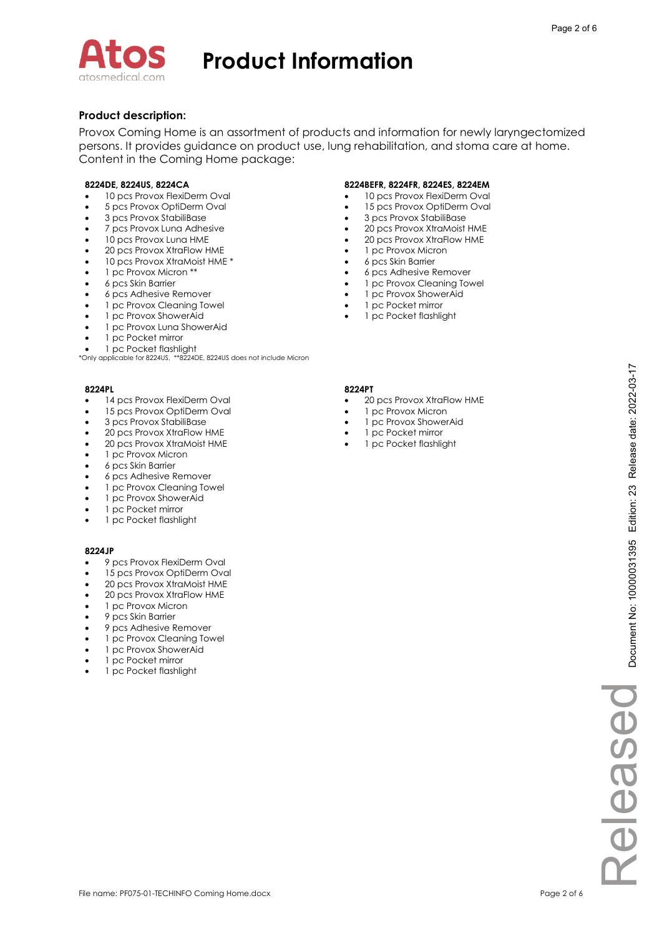

### **Product description:**

Provox Coming Home is an assortment of products and information for newly laryngectomized persons. It provides guidance on product use, lung rehabilitation, and stoma care at home. Content in the Coming Home package:

- -10 pcs Provox FlexiDerm Oval
- -5 pcs Provox OptiDerm Oval
- -3 pcs Provox StabiliBase
- -7 pcs Provox Luna Adhesive
- -10 pcs Provox Luna HME
- -20 pcs Provox XtraFlow HME
- -10 pcs Provox XtraMoist HME \*
- -1 pc Provox Micron \*\*
- -6 pcs Skin Barrier
- -6 pcs Adhesive Remover
- -1 pc Provox Cleaning Towel
- -1 pc Provox ShowerAid
- -1 pc Provox Luna ShowerAid
- -1 pc Pocket mirror
- -1 pc Pocket flashlight

\*Only applicable for 8224US, \*\*8224DE, 8224US does not include Micron

- -14 pcs Provox FlexiDerm Oval
- -15 pcs Provox OptiDerm Oval
- -3 pcs Provox StabiliBase
- -20 pcs Provox XtraFlow HME
- -20 pcs Provox XtraMoist HME
- -1 pc Provox Micron
- -6 pcs Skin Barrier
- -6 pcs Adhesive Remover
- -1 pc Provox Cleaning Towel
- -1 pc Provox ShowerAid
- -1 pc Pocket mirror
- -1 pc Pocket flashlight

#### **8224JP**

- -9 pcs Provox FlexiDerm Oval
- -15 pcs Provox OptiDerm Oval
- -20 pcs Provox XtraMoist HME
- -20 pcs Provox XtraFlow HME
- -1 pc Provox Micron
- -9 pcs Skin Barrier
- -9 pcs Adhesive Remover
- -1 pc Provox Cleaning Towel
- -1 pc Provox ShowerAid
- -1 pc Pocket mirror
- -1 pc Pocket flashlight

### **8224DE, 8224US, 8224CA 8224BEFR, 8224FR, 8224ES, 8224EM**

- -10 pcs Provox FlexiDerm Oval
- -15 pcs Provox OptiDerm Oval
- $\bullet$ 3 pcs Provox StabiliBase
- -20 pcs Provox XtraMoist HME
- -20 pcs Provox XtraFlow HME
- -1 pc Provox Micron
- -6 pcs Skin Barrier
- $\bullet$ 6 pcs Adhesive Remover
- - 1 pc Provox Cleaning Towel  $\bullet$ 1 pc Provox ShowerAid
- $\bullet$ 1 pc Pocket mirror
- -1 pc Pocket flashlight

#### **8224PL 8224PT**

- -20 pcs Provox XtraFlow HME
- -1 pc Provox Micron
- -1 pc Provox ShowerAid
- -1 pc Pocket mirror
- -1 pc Pocket flashlight

ReleasedReleased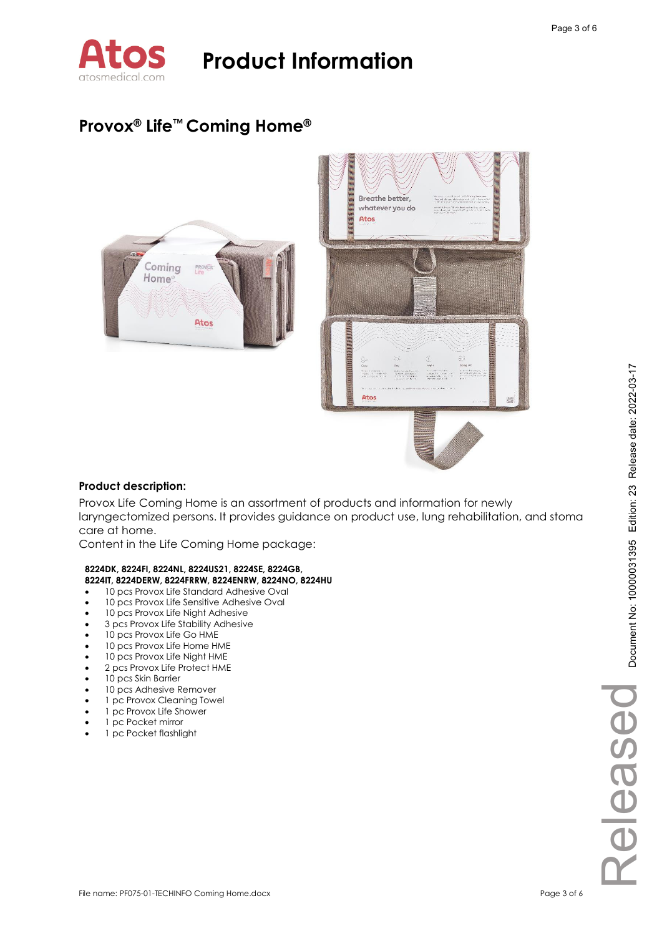

### **Provox® Life™ Coming Home®**



### **Product description:**

Provox Life Coming Home is an assortment of products and information for newly laryngectomized persons. It provides guidance on product use, lung rehabilitation, and stoma care at home.

Content in the Life Coming Home package:

#### **8224DK, 8224FI, 8224NL, 8224US21, 8224SE, 8224GB, 8224IT, 8224DERW, 8224FRRW, 8224ENRW, 8224NO, 8224HU**

- -10 pcs Provox Life Standard Adhesive Oval
- -10 pcs Provox Life Sensitive Adhesive Oval
- -10 pcs Provox Life Night Adhesive
- -3 pcs Provox Life Stability Adhesive
- -10 pcs Provox Life Go HME
- -10 pcs Provox Life Home HME
- -10 pcs Provox Life Night HME
- -2 pcs Provox Life Protect HME
- -10 pcs Skin Barrier
- -10 pcs Adhesive Remover
- -1 pc Provox Cleaning Towel
- -1 pc Provox Life Shower
- -1 pc Pocket mirror
- -1 pc Pocket flashlight

Released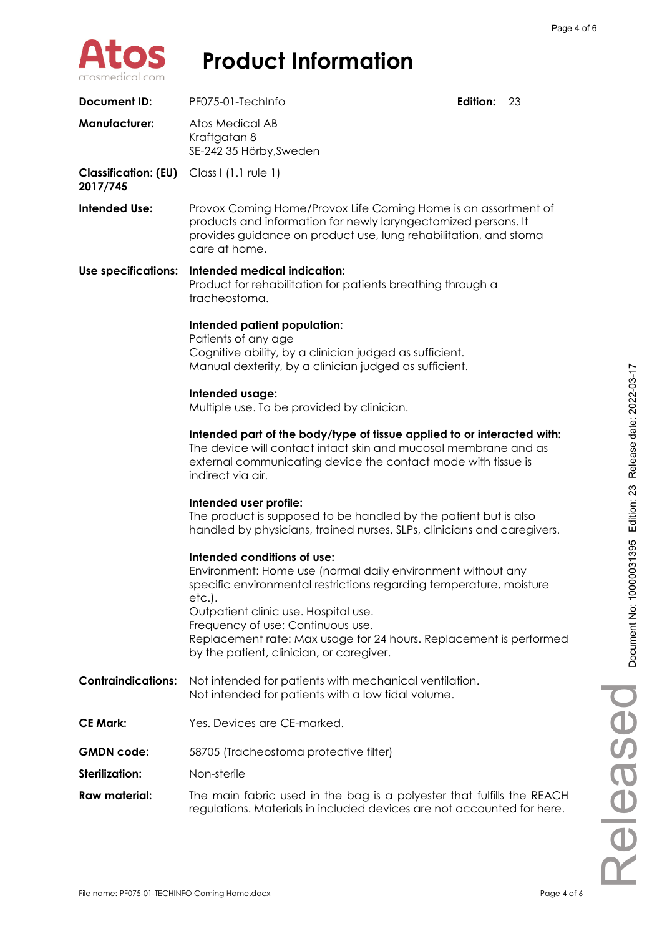

| Document ID:                            | PF075-01-TechInfo                                                                                                                                                                                                                                                                                                                                                          | <b>Edition:</b> | 23 |
|-----------------------------------------|----------------------------------------------------------------------------------------------------------------------------------------------------------------------------------------------------------------------------------------------------------------------------------------------------------------------------------------------------------------------------|-----------------|----|
| <b>Manufacturer:</b>                    | Atos Medical AB<br>Kraftgatan 8<br>SE-242 35 Hörby, Sweden                                                                                                                                                                                                                                                                                                                 |                 |    |
| <b>Classification: (EU)</b><br>2017/745 | Class I (1.1 rule 1)                                                                                                                                                                                                                                                                                                                                                       |                 |    |
| <b>Intended Use:</b>                    | Provox Coming Home/Provox Life Coming Home is an assortment of<br>products and information for newly laryngectomized persons. It<br>provides guidance on product use, lung rehabilitation, and stoma<br>care at home.                                                                                                                                                      |                 |    |
| <b>Use specifications:</b>              | Intended medical indication:<br>Product for rehabilitation for patients breathing through a<br>tracheostoma.                                                                                                                                                                                                                                                               |                 |    |
|                                         | Intended patient population:<br>Patients of any age<br>Cognitive ability, by a clinician judged as sufficient.<br>Manual dexterity, by a clinician judged as sufficient.                                                                                                                                                                                                   |                 |    |
|                                         | Intended usage:<br>Multiple use. To be provided by clinician.                                                                                                                                                                                                                                                                                                              |                 |    |
|                                         | Intended part of the body/type of tissue applied to or interacted with:<br>The device will contact intact skin and mucosal membrane and as<br>external communicating device the contact mode with tissue is<br>indirect via air.                                                                                                                                           |                 |    |
|                                         | Intended user profile:<br>The product is supposed to be handled by the patient but is also<br>handled by physicians, trained nurses, SLPs, clinicians and caregivers.                                                                                                                                                                                                      |                 |    |
|                                         | Intended conditions of use:<br>Environment: Home use (normal daily environment without any<br>specific environmental restrictions regarding temperature, moisture<br>etc.).<br>Outpatient clinic use. Hospital use.<br>Frequency of use: Continuous use.<br>Replacement rate: Max usage for 24 hours. Replacement is performed<br>by the patient, clinician, or caregiver. |                 |    |
| <b>Contraindications:</b>               | Not intended for patients with mechanical ventilation.<br>Not intended for patients with a low tidal volume.                                                                                                                                                                                                                                                               |                 |    |
| <b>CE Mark:</b>                         | Yes. Devices are CE-marked.                                                                                                                                                                                                                                                                                                                                                |                 |    |
| <b>GMDN</b> code:                       | 58705 (Tracheostoma protective filter)                                                                                                                                                                                                                                                                                                                                     |                 |    |
| <b>Sterilization:</b>                   | Non-sterile                                                                                                                                                                                                                                                                                                                                                                |                 |    |
| <b>Raw material:</b>                    | The main fabric used in the bag is a polyester that fulfills the REACH<br>regulations. Materials in included devices are not accounted for here.                                                                                                                                                                                                                           |                 |    |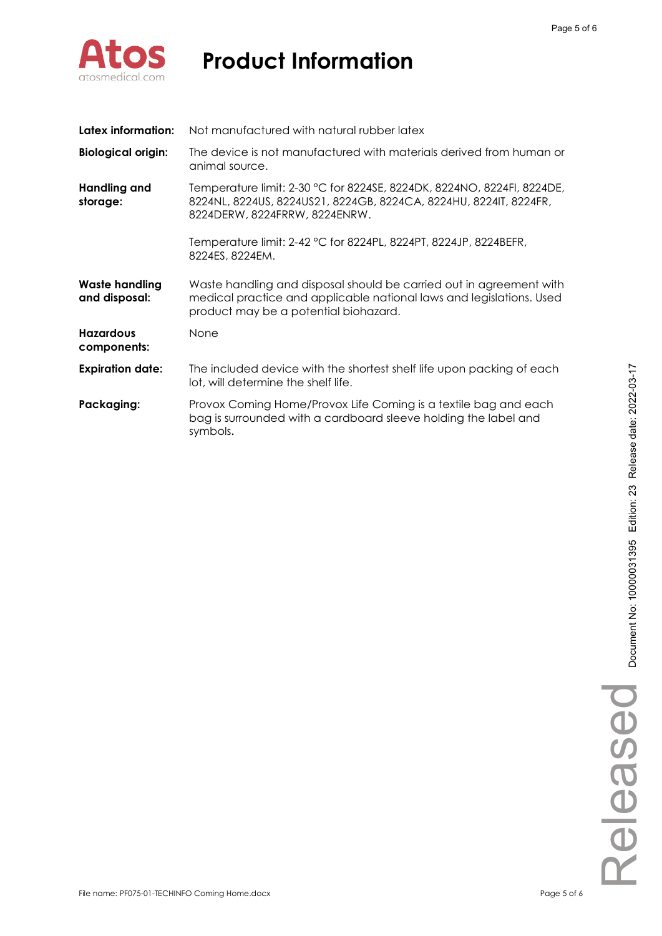

| Latex information:                     | Not manufactured with natural rubber latex                                                                                                                                           |
|----------------------------------------|--------------------------------------------------------------------------------------------------------------------------------------------------------------------------------------|
| <b>Biological origin:</b>              | The device is not manufactured with materials derived from human or<br>animal source.                                                                                                |
| <b>Handling and</b><br>storage:        | Temperature limit: 2-30 °C for 8224SE, 8224DK, 8224NO, 8224FI, 8224DE,<br>8224NL, 8224US, 8224US21, 8224GB, 8224CA, 8224HU, 8224IT, 8224FR,<br>8224DERW, 8224FRRW, 8224ENRW.         |
|                                        | Temperature limit: 2-42 °C for 8224PL, 8224PT, 8224JP, 8224BEFR,<br>8224ES, 8224EM.                                                                                                  |
| <b>Waste handling</b><br>and disposal: | Waste handling and disposal should be carried out in agreement with<br>medical practice and applicable national laws and legislations. Used<br>product may be a potential biohazard. |
| <b>Hazardous</b><br>components:        | None                                                                                                                                                                                 |
| <b>Expiration date:</b>                | The included device with the shortest shelf life upon packing of each<br>lot, will determine the shelf life.                                                                         |
| Packaging:                             | Provox Coming Home/Provox Life Coming is a textile bag and each<br>bag is surrounded with a cardboard sleeve holding the label and<br>symbols.                                       |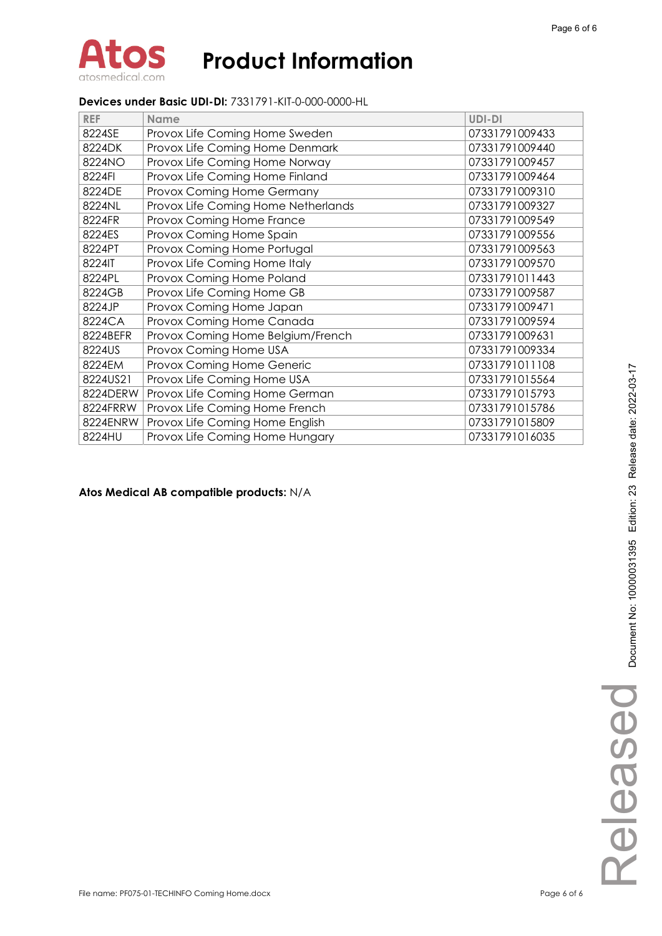### **Devices under Basic UDI-DI:** 7331791-KIT-0-000-0000-HL

| <b>REF</b> | <b>Name</b>                         | <b>UDI-DI</b>  |
|------------|-------------------------------------|----------------|
| 8224SE     | Provox Life Coming Home Sweden      | 07331791009433 |
| 8224DK     | Provox Life Coming Home Denmark     | 07331791009440 |
| 8224NO     | Provox Life Coming Home Norway      | 07331791009457 |
| 8224FI     | Provox Life Coming Home Finland     | 07331791009464 |
| 8224DE     | Provox Coming Home Germany          | 07331791009310 |
| 8224NL     | Provox Life Coming Home Netherlands | 07331791009327 |
| 8224FR     | Provox Coming Home France           | 07331791009549 |
| 8224ES     | Provox Coming Home Spain            | 07331791009556 |
| 8224PT     | Provox Coming Home Portugal         | 07331791009563 |
| 8224IT     | Provox Life Coming Home Italy       | 07331791009570 |
| 8224PL     | Provox Coming Home Poland           | 07331791011443 |
| 8224GB     | Provox Life Coming Home GB          | 07331791009587 |
| 8224JP     | Provox Coming Home Japan            | 07331791009471 |
| 8224CA     | Provox Coming Home Canada           | 07331791009594 |
| 8224BEFR   | Provox Coming Home Belgium/French   | 07331791009631 |
| 8224US     | Provox Coming Home USA              | 07331791009334 |
| 8224EM     | Provox Coming Home Generic          | 07331791011108 |
| 8224US21   | Provox Life Coming Home USA         | 07331791015564 |
| 8224DERW   | Provox Life Coming Home German      | 07331791015793 |
| 8224FRRW   | Provox Life Coming Home French      | 07331791015786 |
| 8224ENRW   | Provox Life Coming Home English     | 07331791015809 |
| 8224HU     | Provox Life Coming Home Hungary     | 07331791016035 |

### **Atos Medical AB compatible products:** N/A

Released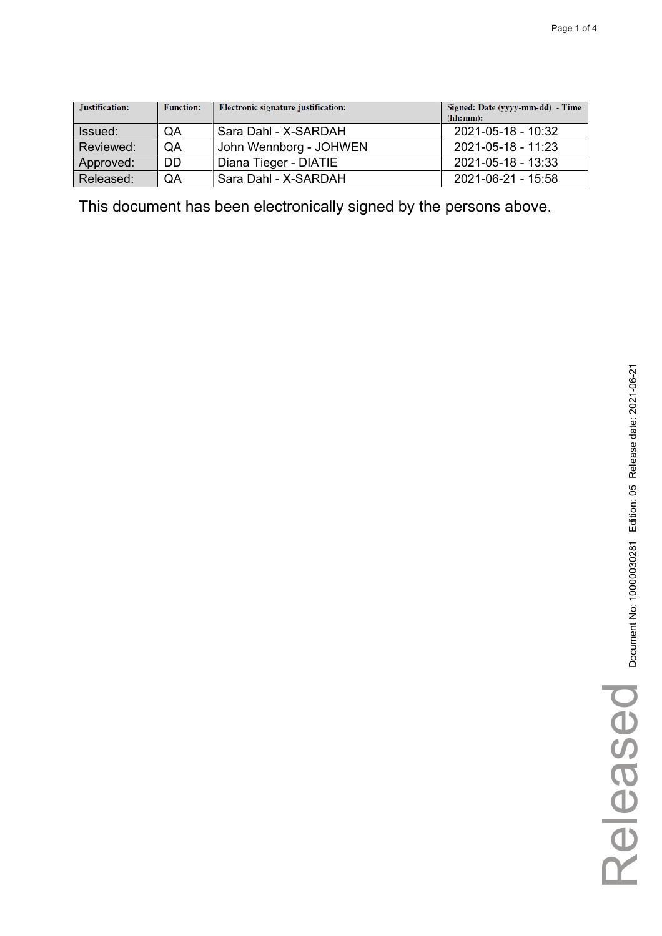| Justification: | <b>Function:</b> | Electronic signature justification: | Signed: Date (yyyy-mm-dd) - Time<br>(hh:mm): |
|----------------|------------------|-------------------------------------|----------------------------------------------|
| Issued:        | QA               | Sara Dahl - X-SARDAH                | 2021-05-18 - 10:32                           |
| Reviewed:      | QA               | John Wennborg - JOHWEN              | 2021-05-18 - 11:23                           |
| Approved:      | <b>DD</b>        | Diana Tieger - DIATIE               | 2021-05-18 - 13:33                           |
| Released:      | QA               | Sara Dahl - X-SARDAH                | $2021 - 06 - 21 - 15.58$                     |

This document has been electronically signed by the persons above.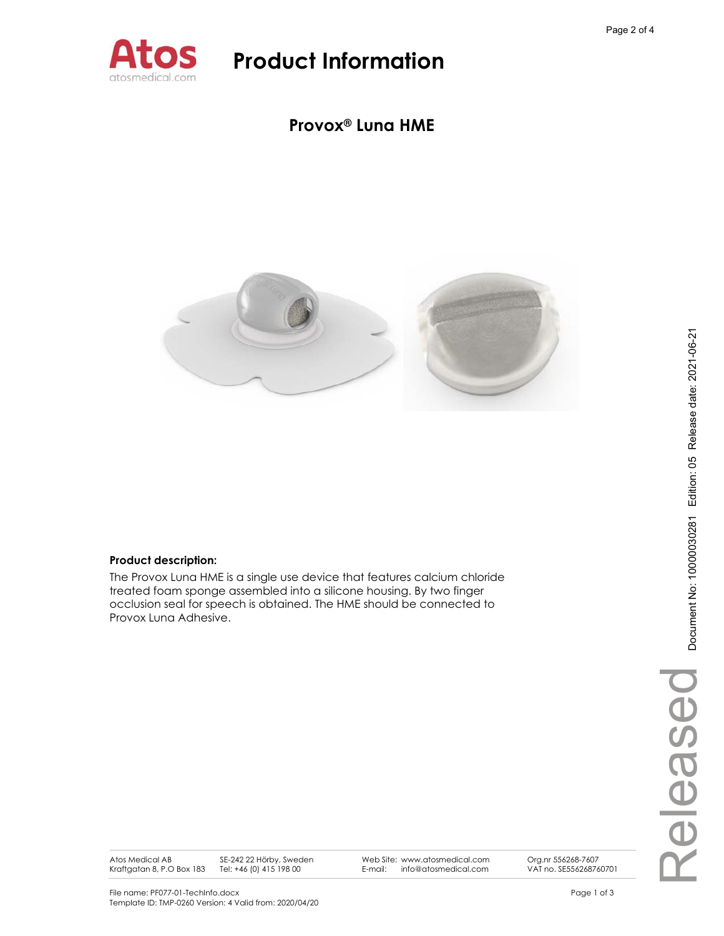

### **Provox® Luna HME**



### **Product description:**

The Provox Luna HME is a single use device that features calcium chloride treated foam sponge assembled into a silicone housing. By two finger occlusion seal for speech is obtained. The HME should be connected to Provox Luna Adhesive.

Atos Medical AB Kraftgatan 8, P.O Box 183 SE-242 22 Hörby, Sweden Tel: +46 (0) 415 198 00

Web Site: www.atosmedical.com E-mail: info@atosmedical.com

Org.nr 556268-7607 VAT no. SE556268760701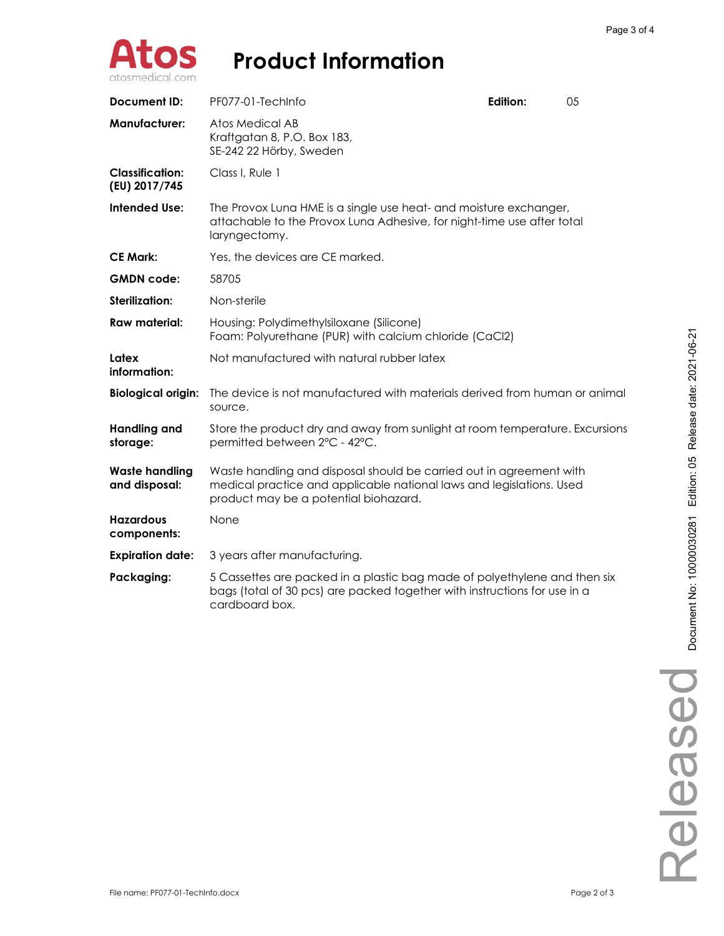

| <b>Document ID:</b>                     | PF077-01-TechInfo                                                                                                                                                                    | Edition: | 05 |
|-----------------------------------------|--------------------------------------------------------------------------------------------------------------------------------------------------------------------------------------|----------|----|
| <b>Manufacturer:</b>                    | Atos Medical AB<br>Kraftgatan 8, P.O. Box 183,<br>SE-242 22 Hörby, Sweden                                                                                                            |          |    |
| <b>Classification:</b><br>(EU) 2017/745 | Class I, Rule 1                                                                                                                                                                      |          |    |
| <b>Intended Use:</b>                    | The Provox Luna HME is a single use heat- and moisture exchanger,<br>attachable to the Provox Luna Adhesive, for night-time use after total<br>laryngectomy.                         |          |    |
| <b>CE Mark:</b>                         | Yes, the devices are CE marked.                                                                                                                                                      |          |    |
| <b>GMDN</b> code:                       | 58705                                                                                                                                                                                |          |    |
| <b>Sterilization:</b>                   | Non-sterile                                                                                                                                                                          |          |    |
| <b>Raw material:</b>                    | Housing: Polydimethylsiloxane (Silicone)<br>Foam: Polyurethane (PUR) with calcium chloride (CaCl2)                                                                                   |          |    |
| Latex<br>information:                   | Not manufactured with natural rubber latex                                                                                                                                           |          |    |
| <b>Biological origin:</b>               | The device is not manufactured with materials derived from human or animal<br>source.                                                                                                |          |    |
| <b>Handling and</b><br>storage:         | Store the product dry and away from sunlight at room temperature. Excursions<br>permitted between 2°C - 42°C.                                                                        |          |    |
| <b>Waste handling</b><br>and disposal:  | Waste handling and disposal should be carried out in agreement with<br>medical practice and applicable national laws and legislations. Used<br>product may be a potential biohazard. |          |    |
| <b>Hazardous</b><br>components:         | None                                                                                                                                                                                 |          |    |
| <b>Expiration date:</b>                 | 3 years after manufacturing.                                                                                                                                                         |          |    |
| Packaging:                              | 5 Cassettes are packed in a plastic bag made of polyethylene and then six<br>bags (total of 30 pcs) are packed together with instructions for use in a<br>cardboard box.             |          |    |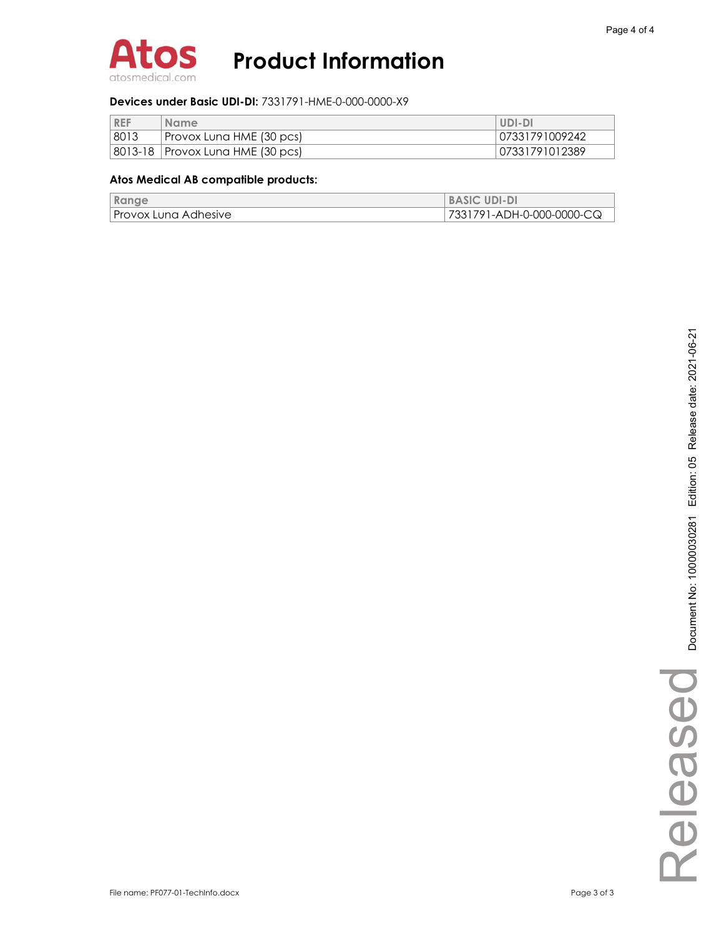

### **Devices under Basic UDI-DI:** 7331791-HME-0-000-0000-X9

| <b>REF</b> | <b>Name</b>                        | UDI-DI         |
|------------|------------------------------------|----------------|
| 8013       | Provox Luna HME (30 pcs)           | 07331791009242 |
|            | 8013-18   Provox Luna HME (30 pcs) | 07331791012389 |

### **Atos Medical AB compatible products:**

| Range                | <b>BASIC UDI-DI</b>       |
|----------------------|---------------------------|
| Provox Luna Adhesive | 7331791-ADH-0-000-0000-CQ |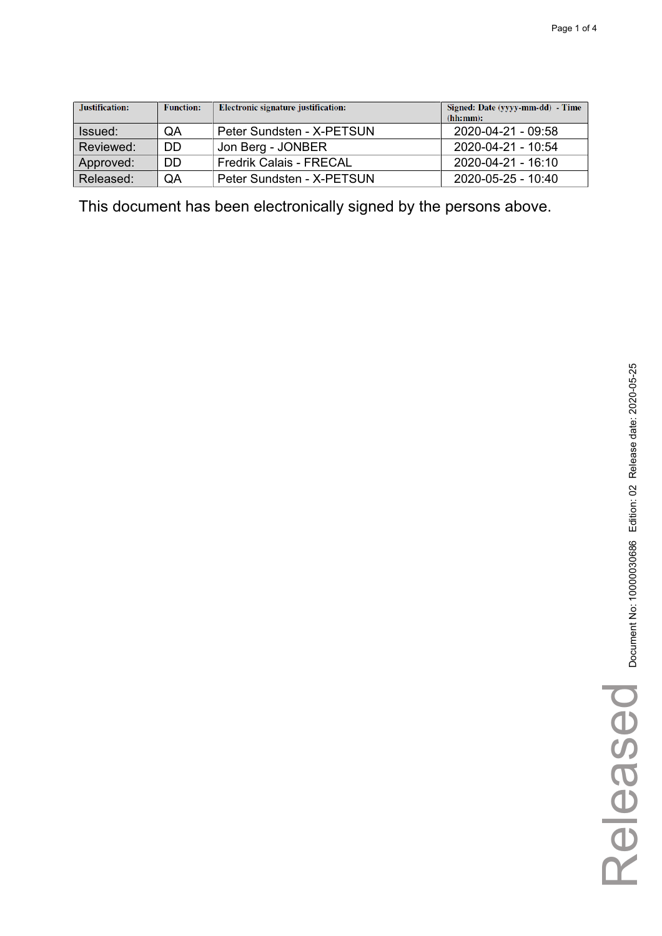| Justification: | <b>Function:</b> | Electronic signature justification: | Signed: Date (yyyy-mm-dd) - Time<br>(hh:mm): |
|----------------|------------------|-------------------------------------|----------------------------------------------|
| Issued:        | QA               | Peter Sundsten - X-PETSUN           | 2020-04-21 - 09:58                           |
| Reviewed:      | DD               | Jon Berg - JONBER                   | 2020-04-21 - 10:54                           |
| Approved:      | DD               | <b>Fredrik Calais - FRECAL</b>      | 2020-04-21 - 16:10                           |
| Released:      | QA               | Peter Sundsten - X-PETSUN           | $2020 - 05 - 25 - 10.40$                     |

This document has been electronically signed by the persons above.

Released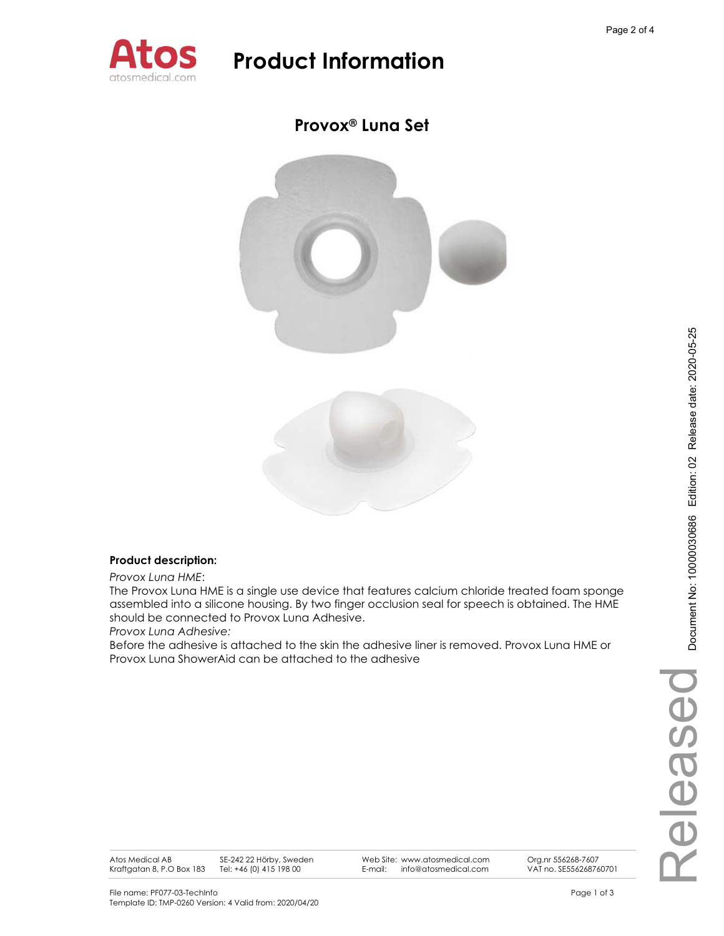

## **Provox® Luna Set**



### **Product description:**

*Provox Luna HME*:

The Provox Luna HME is a single use device that features calcium chloride treated foam sponge assembled into a silicone housing. By two finger occlusion seal for speech is obtained. The HME should be connected to Provox Luna Adhesive.

*Provox Luna Adhesive:* 

Before the adhesive is attached to the skin the adhesive liner is removed. Provox Luna HME or Provox Luna ShowerAid can be attached to the adhesive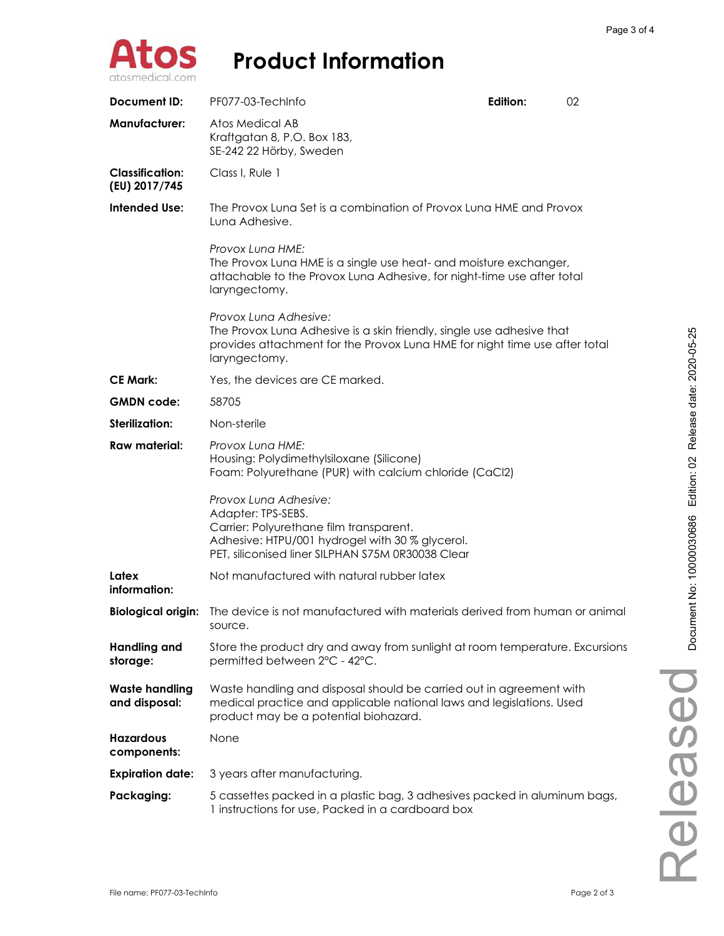

| <b>Document ID:</b>                                                                                                                     | PF077-03-TechInfo                                                                                                                                                                              | Edition: | 02 |
|-----------------------------------------------------------------------------------------------------------------------------------------|------------------------------------------------------------------------------------------------------------------------------------------------------------------------------------------------|----------|----|
| <b>Manufacturer:</b>                                                                                                                    | <b>Atos Medical AB</b><br>Kraftgatan 8, P.O. Box 183,<br>SE-242 22 Hörby, Sweden                                                                                                               |          |    |
| <b>Classification:</b><br>(EU) 2017/745                                                                                                 | Class I, Rule 1                                                                                                                                                                                |          |    |
| <b>Intended Use:</b><br>The Provox Luna Set is a combination of Provox Luna HME and Provox<br>Lung Adhesive.                            |                                                                                                                                                                                                |          |    |
|                                                                                                                                         | Provox Lung HME:<br>The Provox Luna HME is a single use heat- and moisture exchanger,<br>attachable to the Provox Luna Adhesive, for night-time use after total<br>laryngectomy.               |          |    |
|                                                                                                                                         | Provox Luna Adhesive:<br>The Provox Luna Adhesive is a skin friendly, single use adhesive that<br>provides attachment for the Provox Luna HME for night time use after total<br>laryngectomy.  |          |    |
| <b>CE Mark:</b>                                                                                                                         | Yes, the devices are CE marked.                                                                                                                                                                |          |    |
| <b>GMDN</b> code:                                                                                                                       | 58705                                                                                                                                                                                          |          |    |
| <b>Sterilization:</b>                                                                                                                   | Non-sterile                                                                                                                                                                                    |          |    |
| Raw material:<br>Provox Lung HME:<br>Housing: Polydimethylsiloxane (Silicone)<br>Foam: Polyurethane (PUR) with calcium chloride (CaCl2) |                                                                                                                                                                                                |          |    |
|                                                                                                                                         | Provox Lung Adhesive:<br>Adapter: TPS-SEBS.<br>Carrier: Polyurethane film transparent.<br>Adhesive: HTPU/001 hydrogel with 30 % glycerol.<br>PET, siliconised liner SILPHAN S75M 0R30038 Clear |          |    |
| Latex<br>information:                                                                                                                   | Not manufactured with natural rubber latex                                                                                                                                                     |          |    |
| <b>Biological origin:</b>                                                                                                               | The device is not manufactured with materials derived from human or animal<br>source.                                                                                                          |          |    |
| <b>Handling and</b><br>storage:                                                                                                         | Store the product dry and away from sunlight at room temperature. Excursions<br>permitted between 2°C - 42°C.                                                                                  |          |    |
| <b>Waste handling</b><br>and disposal:                                                                                                  | Waste handling and disposal should be carried out in agreement with<br>medical practice and applicable national laws and legislations. Used<br>product may be a potential biohazard.           |          |    |
| <b>Hazardous</b><br>components:                                                                                                         | None                                                                                                                                                                                           |          |    |
| <b>Expiration date:</b>                                                                                                                 | 3 years after manufacturing.                                                                                                                                                                   |          |    |
| Packaging:                                                                                                                              | 5 cassettes packed in a plastic bag, 3 adhesives packed in aluminum bags,<br>1 instructions for use, Packed in a cardboard box                                                                 |          |    |